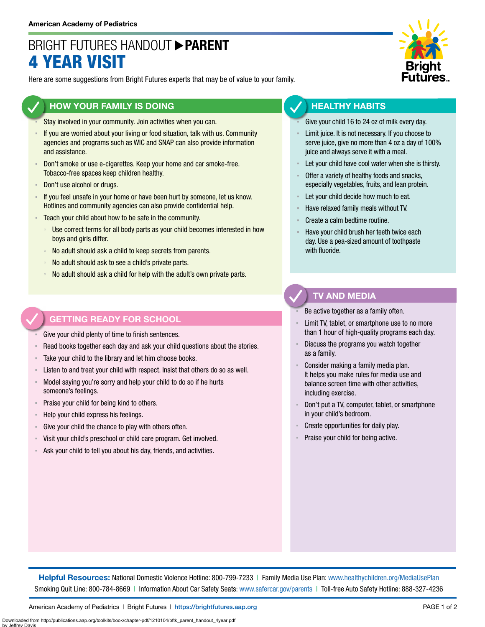## BRIGHT FUTURES HANDOUT **PARENT** 4 YEAR VISIT

Here are some suggestions from Bright Futures experts that may be of value to your family.

### **HOW YOUR FAMILY IS DOING**

- Stay involved in your community. Join activities when you can.
- If you are worried about your living or food situation, talk with us. Community agencies and programs such as WIC and SNAP can also provide information and assistance.
- **Don't smoke or use e-cigarettes. Keep your home and car smoke-free.** Tobacco-free spaces keep children healthy.
- Don't use alcohol or drugs.
- **EXECT** If you feel unsafe in your home or have been hurt by someone, let us know. Hotlines and community agencies can also provide confidential help.
- **EXECO** F Teach your child about how to be safe in the community.
	- Use correct terms for all body parts as your child becomes interested in how boys and girls differ.
	- No adult should ask a child to keep secrets from parents.
	- No adult should ask to see a child's private parts.
	- No adult should ask a child for help with the adult's own private parts.

### **GETTING READY FOR SCHOOL**

Give your child plenty of time to finish sentences.

- Read books together each day and ask your child questions about the stories.
- Take your child to the library and let him choose books.
- Listen to and treat your child with respect. Insist that others do so as well.
- Model saying you're sorry and help your child to do so if he hurts someone's feelings.
- Praise your child for being kind to others.
- Help your child express his feelings.
- Give your child the chance to play with others often.
- Visit your child's preschool or child care program. Get involved.
- Ask your child to tell you about his day, friends, and activities.



### **HEALTHY HABITS**

- Give your child 16 to 24 oz of milk every day.
- Limit juice. It is not necessary. If you choose to serve juice, give no more than 4 oz a day of 100% juice and always serve it with a meal.
- Let your child have cool water when she is thirsty.
- Offer a variety of healthy foods and snacks, especially vegetables, fruits, and lean protein.
- Let your child decide how much to eat.
- Have relaxed family meals without TV.
- Create a calm bedtime routine.
- Have your child brush her teeth twice each day. Use a pea-sized amount of toothpaste with fluoride.

### **TV AND MEDIA**

Be active together as a family often.

- Limit TV, tablet, or smartphone use to no more than 1 hour of high-quality programs each day.
- Discuss the programs you watch together as a family.
- Consider making a family media plan. It helps you make rules for media use and balance screen time with other activities, including exercise.
- Don't put a TV, computer, tablet, or smartphone in your child's bedroom.
- Create opportunities for daily play.
- Praise your child for being active.

**Helpful Resources:** National Domestic Violence Hotline: 800-799-7233 | Family Media Use Plan: [www.healthychildren.org/MediaUsePlan](https://www.healthychildren.org/English/media/Pages/default.aspx) Smoking Quit Line: 800-784-8669 | Information About Car Safety Seats: [www.safercar.gov/parents](https://www.nhtsa.gov/parents-and-caregivers) | Toll-free Auto Safety Hotline: 888-327-4236

American Academy of Pediatrics | Bright Futures | https://[brightfutures.aap.org](https://brightfutures.aap.org/Pages/default.aspx) PAGE 1 of 2